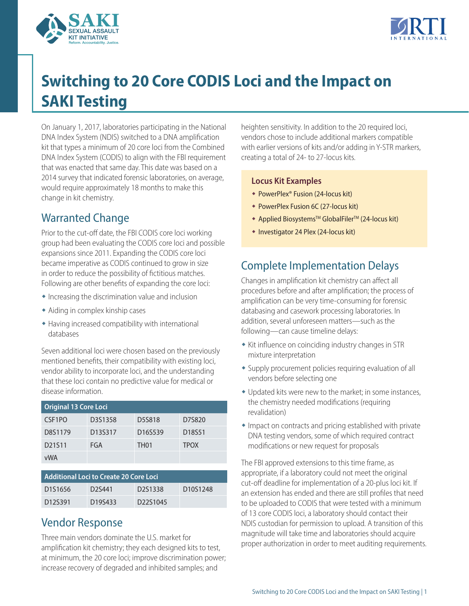



# **Switching to 20 Core CODIS Loci and the Impact on SAKI Testing**

On January 1, 2017, laboratories participating in the National DNA Index System (NDIS) switched to a DNA amplification kit that types a minimum of 20 core loci from the Combined DNA Index System (CODIS) to align with the FBI requirement that was enacted that same day. This date was based on a 2014 survey that indicated forensic laboratories, on average, would require approximately 18 months to make this change in kit chemistry.

## Warranted Change

Prior to the cut-off date, the FBI CODIS core loci working group had been evaluating the CODIS core loci and possible expansions since 2011. Expanding the CODIS core loci became imperative as CODIS continued to grow in size in order to reduce the possibility of fictitious matches. Following are other benefits of expanding the core loci:

- $\bullet$  Increasing the discrimination value and inclusion
- $\bullet$  Aiding in complex kinship cases
- $\bullet$  Having increased compatibility with international databases

Seven additional loci were chosen based on the previously mentioned benefits, their compatibility with existing loci, vendor ability to incorporate loci, and the understanding that these loci contain no predictive value for medical or disease information.

| <b>Original 13 Core Loci</b> |         |                  |                    |  |
|------------------------------|---------|------------------|--------------------|--|
| CSF <sub>1</sub> PO          | D3S1358 | D5S818           | D7S820             |  |
| D8S1179                      | D13S317 | D16S539          | D <sub>18551</sub> |  |
| D21511                       | FGA     | TH <sub>01</sub> | <b>TPOX</b>        |  |
| vWA                          |         |                  |                    |  |

| <b>Additional Loci to Create 20 Core Loci</b> |                     |          |          |  |
|-----------------------------------------------|---------------------|----------|----------|--|
| D1S1656                                       | D <sub>2</sub> S441 | D2S1338  | D10S1248 |  |
| D <sub>125391</sub>                           | D <sub>195433</sub> | D22S1045 |          |  |

#### Vendor Response

Three main vendors dominate the U.S. market for amplification kit chemistry; they each designed kits to test, at minimum, the 20 core loci; improve discrimination power; increase recovery of degraded and inhibited samples; and

heighten sensitivity. In addition to the 20 required loci, vendors chose to include additional markers compatible with earlier versions of kits and/or adding in Y-STR markers, creating a total of 24- to 27-locus kits.

#### **Locus Kit Examples**

- ◆ PowerPlex® Fusion (24-locus kit)
- ◆ PowerPlex Fusion 6C (27-locus kit)
- ◆ Applied Biosystems™ GlobalFiler™ (24-locus kit)
- w Investigator 24 Plex (24-locus kit)

### Complete Implementation Delays

Changes in amplification kit chemistry can affect all procedures before and after amplification; the process of amplification can be very time-consuming for forensic databasing and casework processing laboratories. In addition, several unforeseen matters—such as the following—can cause timeline delays:

- $\bullet$  Kit influence on coinciding industry changes in STR mixture interpretation
- Supply procurement policies requiring evaluation of all vendors before selecting one
- Updated kits were new to the market; in some instances, the chemistry needed modifications (requiring revalidation)
- $\bullet$  Impact on contracts and pricing established with private DNA testing vendors, some of which required contract modifications or new request for proposals

The FBI approved extensions to this time frame, as appropriate, if a laboratory could not meet the original cut-off deadline for implementation of a 20-plus loci kit. If an extension has ended and there are still profiles that need to be uploaded to CODIS that were tested with a minimum of 13 core CODIS loci, a laboratory should contact their NDIS custodian for permission to upload. A transition of this magnitude will take time and laboratories should acquire proper authorization in order to meet auditing requirements.